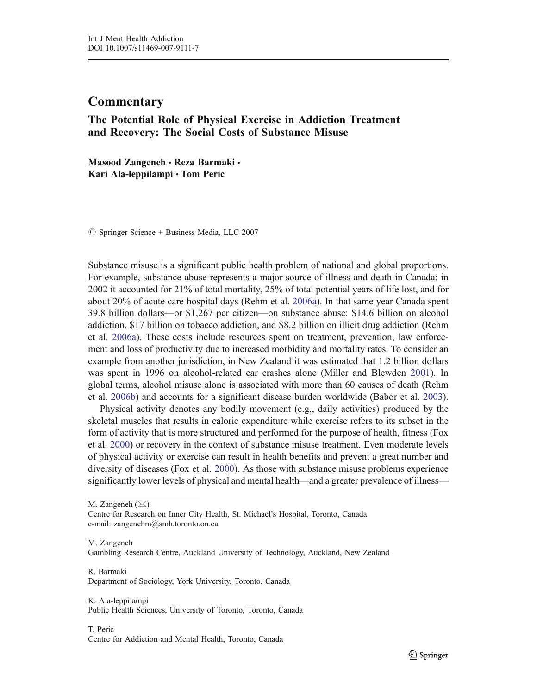# **Commentary**

## The Potential Role of Physical Exercise in Addiction Treatment and Recovery: The Social Costs of Substance Misuse

Masood Zangeneh • Reza Barmaki • Kari Ala-leppilampi & Tom Peric

 $\circledcirc$  Springer Science + Business Media, LLC 2007

Substance misuse is a significant public health problem of national and global proportions. For example, substance abuse represents a major source of illness and death in Canada: in 2002 it accounted for 21% of total mortality, 25% of total potential years of life lost, and for about 20% of acute care hospital days (Rehm et al. 2006a). In that same year Canada spent 39.8 billion dollars—or \$1,267 per citizen—on substance abuse: \$14.6 billion on alcohol addiction, \$17 billion on tobacco addiction, and \$8.2 billion on illicit drug addiction (Rehm et al. 2006a). These costs include resources spent on treatment, prevention, law enforcement and loss of productivity due to increased morbidity and mortality rates. To consider an example from another jurisdiction, in New Zealand it was estimated that 1.2 billion dollars was spent in 1996 on alcohol-related car crashes alone (Miller and Blewden 2001). In global terms, alcohol misuse alone is associated with more than 60 causes of death (Rehm et al. 2006b) and accounts for a significant disease burden worldwide (Babor et al. 2003).

Physical activity denotes any bodily movement (e.g., daily activities) produced by the skeletal muscles that results in caloric expenditure while exercise refers to its subset in the form of activity that is more structured and performed for the purpose of health, fitness (Fox et al. 2000) or recovery in the context of substance misuse treatment. Even moderate levels of physical activity or exercise can result in health benefits and prevent a great number and diversity of diseases (Fox et al. 2000). As those with substance misuse problems experience significantly lower levels of physical and mental health—and a greater prevalence of illness—

M. Zangeneh  $(\boxtimes)$ 

M. Zangeneh

Gambling Research Centre, Auckland University of Technology, Auckland, New Zealand

R. Barmaki Department of Sociology, York University, Toronto, Canada

K. Ala-leppilampi Public Health Sciences, University of Toronto, Toronto, Canada

#### T. Peric Centre for Addiction and Mental Health, Toronto, Canada

Centre for Research on Inner City Health, St. Michael's Hospital, Toronto, Canada e-mail: zangenehm@smh.toronto.on.ca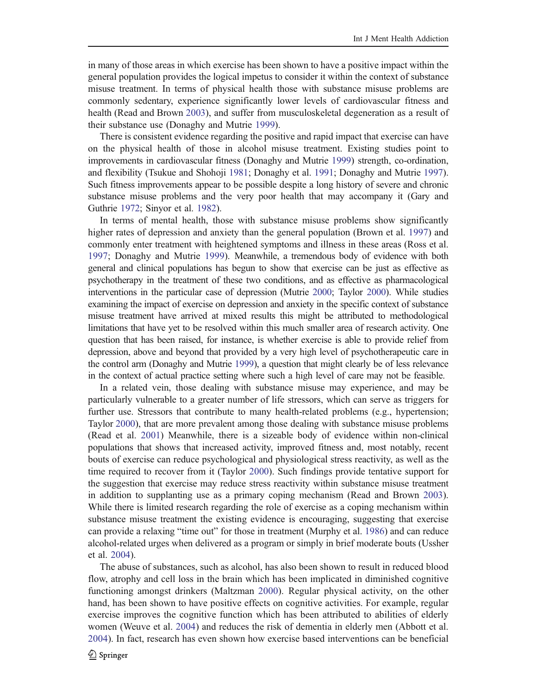in many of those areas in which exercise has been shown to have a positive impact within the general population provides the logical impetus to consider it within the context of substance misuse treatment. In terms of physical health those with substance misuse problems are commonly sedentary, experience significantly lower levels of cardiovascular fitness and health (Read and Brown 2003), and suffer from musculoskeletal degeneration as a result of their substance use (Donaghy and Mutrie 1999).

There is consistent evidence regarding the positive and rapid impact that exercise can have on the physical health of those in alcohol misuse treatment. Existing studies point to improvements in cardiovascular fitness (Donaghy and Mutrie 1999) strength, co-ordination, and flexibility (Tsukue and Shohoji 1981; Donaghy et al. 1991; Donaghy and Mutrie 1997). Such fitness improvements appear to be possible despite a long history of severe and chronic substance misuse problems and the very poor health that may accompany it (Gary and Guthrie 1972; Sinyor et al. 1982).

In terms of mental health, those with substance misuse problems show significantly higher rates of depression and anxiety than the general population (Brown et al. 1997) and commonly enter treatment with heightened symptoms and illness in these areas (Ross et al. 1997; Donaghy and Mutrie 1999). Meanwhile, a tremendous body of evidence with both general and clinical populations has begun to show that exercise can be just as effective as psychotherapy in the treatment of these two conditions, and as effective as pharmacological interventions in the particular case of depression (Mutrie 2000; Taylor 2000). While studies examining the impact of exercise on depression and anxiety in the specific context of substance misuse treatment have arrived at mixed results this might be attributed to methodological limitations that have yet to be resolved within this much smaller area of research activity. One question that has been raised, for instance, is whether exercise is able to provide relief from depression, above and beyond that provided by a very high level of psychotherapeutic care in the control arm (Donaghy and Mutrie 1999), a question that might clearly be of less relevance in the context of actual practice setting where such a high level of care may not be feasible.

In a related vein, those dealing with substance misuse may experience, and may be particularly vulnerable to a greater number of life stressors, which can serve as triggers for further use. Stressors that contribute to many health-related problems (e.g., hypertension; Taylor 2000), that are more prevalent among those dealing with substance misuse problems (Read et al. 2001) Meanwhile, there is a sizeable body of evidence within non-clinical populations that shows that increased activity, improved fitness and, most notably, recent bouts of exercise can reduce psychological and physiological stress reactivity, as well as the time required to recover from it (Taylor 2000). Such findings provide tentative support for the suggestion that exercise may reduce stress reactivity within substance misuse treatment in addition to supplanting use as a primary coping mechanism (Read and Brown 2003). While there is limited research regarding the role of exercise as a coping mechanism within substance misuse treatment the existing evidence is encouraging, suggesting that exercise can provide a relaxing "time out" for those in treatment (Murphy et al. 1986) and can reduce alcohol-related urges when delivered as a program or simply in brief moderate bouts (Ussher et al. 2004).

The abuse of substances, such as alcohol, has also been shown to result in reduced blood flow, atrophy and cell loss in the brain which has been implicated in diminished cognitive functioning amongst drinkers (Maltzman 2000). Regular physical activity, on the other hand, has been shown to have positive effects on cognitive activities. For example, regular exercise improves the cognitive function which has been attributed to abilities of elderly women (Weuve et al. 2004) and reduces the risk of dementia in elderly men (Abbott et al. 2004). In fact, research has even shown how exercise based interventions can be beneficial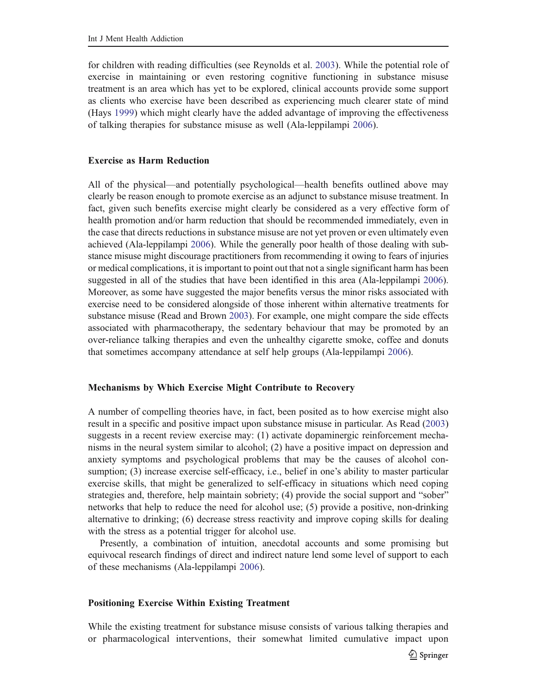for children with reading difficulties (see Reynolds et al. 2003). While the potential role of exercise in maintaining or even restoring cognitive functioning in substance misuse treatment is an area which has yet to be explored, clinical accounts provide some support as clients who exercise have been described as experiencing much clearer state of mind (Hays 1999) which might clearly have the added advantage of improving the effectiveness of talking therapies for substance misuse as well (Ala-leppilampi 2006).

## Exercise as Harm Reduction

All of the physical—and potentially psychological—health benefits outlined above may clearly be reason enough to promote exercise as an adjunct to substance misuse treatment. In fact, given such benefits exercise might clearly be considered as a very effective form of health promotion and/or harm reduction that should be recommended immediately, even in the case that directs reductions in substance misuse are not yet proven or even ultimately even achieved (Ala-leppilampi 2006). While the generally poor health of those dealing with substance misuse might discourage practitioners from recommending it owing to fears of injuries or medical complications, it is important to point out that not a single significant harm has been suggested in all of the studies that have been identified in this area (Ala-leppilampi 2006). Moreover, as some have suggested the major benefits versus the minor risks associated with exercise need to be considered alongside of those inherent within alternative treatments for substance misuse (Read and Brown 2003). For example, one might compare the side effects associated with pharmacotherapy, the sedentary behaviour that may be promoted by an over-reliance talking therapies and even the unhealthy cigarette smoke, coffee and donuts that sometimes accompany attendance at self help groups (Ala-leppilampi 2006).

#### Mechanisms by Which Exercise Might Contribute to Recovery

A number of compelling theories have, in fact, been posited as to how exercise might also result in a specific and positive impact upon substance misuse in particular. As Read (2003) suggests in a recent review exercise may: (1) activate dopaminergic reinforcement mechanisms in the neural system similar to alcohol; (2) have a positive impact on depression and anxiety symptoms and psychological problems that may be the causes of alcohol consumption; (3) increase exercise self-efficacy, i.e., belief in one's ability to master particular exercise skills, that might be generalized to self-efficacy in situations which need coping strategies and, therefore, help maintain sobriety; (4) provide the social support and "sober" networks that help to reduce the need for alcohol use; (5) provide a positive, non-drinking alternative to drinking; (6) decrease stress reactivity and improve coping skills for dealing with the stress as a potential trigger for alcohol use.

Presently, a combination of intuition, anecdotal accounts and some promising but equivocal research findings of direct and indirect nature lend some level of support to each of these mechanisms (Ala-leppilampi 2006).

## Positioning Exercise Within Existing Treatment

While the existing treatment for substance misuse consists of various talking therapies and or pharmacological interventions, their somewhat limited cumulative impact upon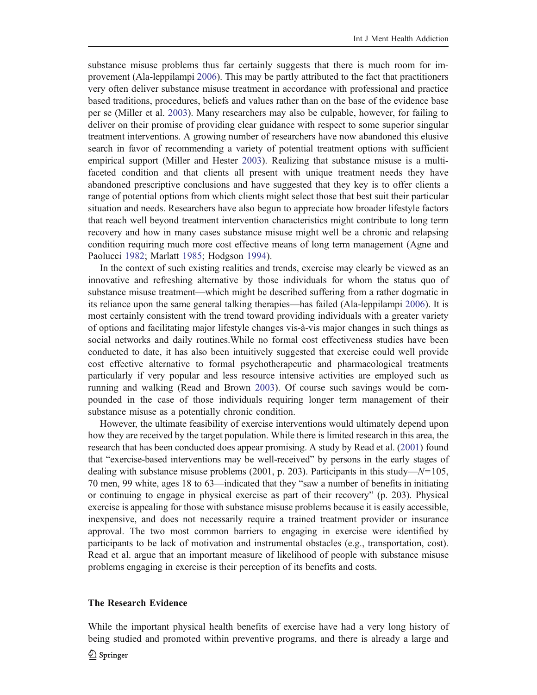substance misuse problems thus far certainly suggests that there is much room for improvement (Ala-leppilampi 2006). This may be partly attributed to the fact that practitioners very often deliver substance misuse treatment in accordance with professional and practice based traditions, procedures, beliefs and values rather than on the base of the evidence base per se (Miller et al. 2003). Many researchers may also be culpable, however, for failing to deliver on their promise of providing clear guidance with respect to some superior singular treatment interventions. A growing number of researchers have now abandoned this elusive search in favor of recommending a variety of potential treatment options with sufficient empirical support (Miller and Hester 2003). Realizing that substance misuse is a multifaceted condition and that clients all present with unique treatment needs they have abandoned prescriptive conclusions and have suggested that they key is to offer clients a range of potential options from which clients might select those that best suit their particular situation and needs. Researchers have also begun to appreciate how broader lifestyle factors that reach well beyond treatment intervention characteristics might contribute to long term recovery and how in many cases substance misuse might well be a chronic and relapsing condition requiring much more cost effective means of long term management (Agne and Paolucci 1982; Marlatt 1985; Hodgson 1994).

In the context of such existing realities and trends, exercise may clearly be viewed as an innovative and refreshing alternative by those individuals for whom the status quo of substance misuse treatment—which might be described suffering from a rather dogmatic in its reliance upon the same general talking therapies—has failed (Ala-leppilampi 2006). It is most certainly consistent with the trend toward providing individuals with a greater variety of options and facilitating major lifestyle changes vis-à-vis major changes in such things as social networks and daily routines.While no formal cost effectiveness studies have been conducted to date, it has also been intuitively suggested that exercise could well provide cost effective alternative to formal psychotherapeutic and pharmacological treatments particularly if very popular and less resource intensive activities are employed such as running and walking (Read and Brown 2003). Of course such savings would be compounded in the case of those individuals requiring longer term management of their substance misuse as a potentially chronic condition.

However, the ultimate feasibility of exercise interventions would ultimately depend upon how they are received by the target population. While there is limited research in this area, the research that has been conducted does appear promising. A study by Read et al. (2001) found that "exercise-based interventions may be well-received" by persons in the early stages of dealing with substance misuse problems (2001, p. 203). Participants in this study— $N=105$ , 70 men, 99 white, ages 18 to 63—indicated that they "saw a number of benefits in initiating or continuing to engage in physical exercise as part of their recovery" (p. 203). Physical exercise is appealing for those with substance misuse problems because it is easily accessible, inexpensive, and does not necessarily require a trained treatment provider or insurance approval. The two most common barriers to engaging in exercise were identified by participants to be lack of motivation and instrumental obstacles (e.g., transportation, cost). Read et al. argue that an important measure of likelihood of people with substance misuse problems engaging in exercise is their perception of its benefits and costs.

## The Research Evidence

While the important physical health benefits of exercise have had a very long history of being studied and promoted within preventive programs, and there is already a large and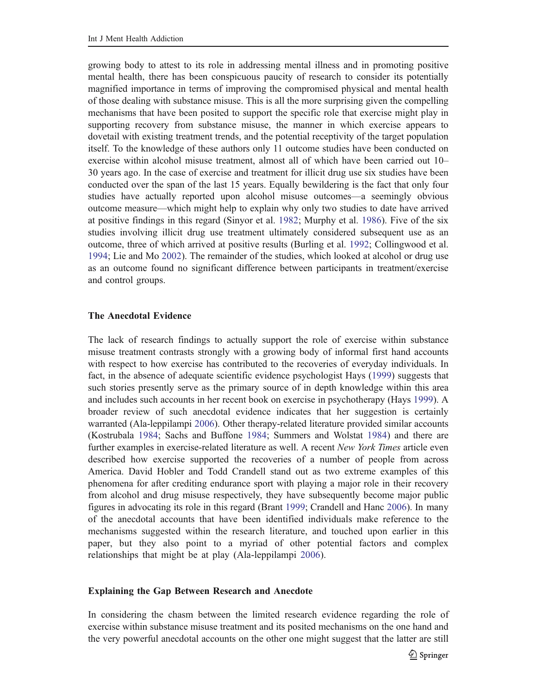growing body to attest to its role in addressing mental illness and in promoting positive mental health, there has been conspicuous paucity of research to consider its potentially magnified importance in terms of improving the compromised physical and mental health of those dealing with substance misuse. This is all the more surprising given the compelling mechanisms that have been posited to support the specific role that exercise might play in supporting recovery from substance misuse, the manner in which exercise appears to dovetail with existing treatment trends, and the potential receptivity of the target population itself. To the knowledge of these authors only 11 outcome studies have been conducted on exercise within alcohol misuse treatment, almost all of which have been carried out 10– 30 years ago. In the case of exercise and treatment for illicit drug use six studies have been conducted over the span of the last 15 years. Equally bewildering is the fact that only four studies have actually reported upon alcohol misuse outcomes—a seemingly obvious outcome measure—which might help to explain why only two studies to date have arrived at positive findings in this regard (Sinyor et al. 1982; Murphy et al. 1986). Five of the six studies involving illicit drug use treatment ultimately considered subsequent use as an outcome, three of which arrived at positive results (Burling et al. 1992; Collingwood et al. 1994; Lie and Mo 2002). The remainder of the studies, which looked at alcohol or drug use as an outcome found no significant difference between participants in treatment/exercise and control groups.

## The Anecdotal Evidence

The lack of research findings to actually support the role of exercise within substance misuse treatment contrasts strongly with a growing body of informal first hand accounts with respect to how exercise has contributed to the recoveries of everyday individuals. In fact, in the absence of adequate scientific evidence psychologist Hays (1999) suggests that such stories presently serve as the primary source of in depth knowledge within this area and includes such accounts in her recent book on exercise in psychotherapy (Hays 1999). A broader review of such anecdotal evidence indicates that her suggestion is certainly warranted (Ala-leppilampi 2006). Other therapy-related literature provided similar accounts (Kostrubala 1984; Sachs and Buffone 1984; Summers and Wolstat 1984) and there are further examples in exercise-related literature as well. A recent *New York Times* article even described how exercise supported the recoveries of a number of people from across America. David Hobler and Todd Crandell stand out as two extreme examples of this phenomena for after crediting endurance sport with playing a major role in their recovery from alcohol and drug misuse respectively, they have subsequently become major public figures in advocating its role in this regard (Brant 1999; Crandell and Hanc 2006). In many of the anecdotal accounts that have been identified individuals make reference to the mechanisms suggested within the research literature, and touched upon earlier in this paper, but they also point to a myriad of other potential factors and complex relationships that might be at play (Ala-leppilampi 2006).

#### Explaining the Gap Between Research and Anecdote

In considering the chasm between the limited research evidence regarding the role of exercise within substance misuse treatment and its posited mechanisms on the one hand and the very powerful anecdotal accounts on the other one might suggest that the latter are still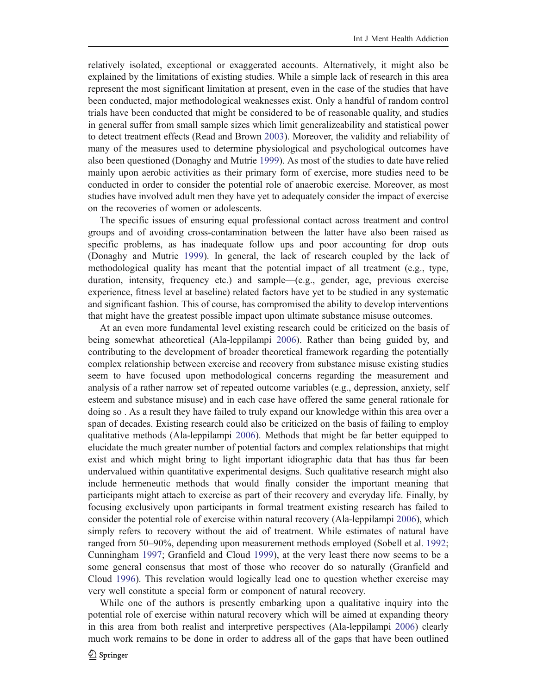relatively isolated, exceptional or exaggerated accounts. Alternatively, it might also be explained by the limitations of existing studies. While a simple lack of research in this area represent the most significant limitation at present, even in the case of the studies that have been conducted, major methodological weaknesses exist. Only a handful of random control trials have been conducted that might be considered to be of reasonable quality, and studies in general suffer from small sample sizes which limit generalizeability and statistical power to detect treatment effects (Read and Brown 2003). Moreover, the validity and reliability of many of the measures used to determine physiological and psychological outcomes have also been questioned (Donaghy and Mutrie 1999). As most of the studies to date have relied mainly upon aerobic activities as their primary form of exercise, more studies need to be conducted in order to consider the potential role of anaerobic exercise. Moreover, as most studies have involved adult men they have yet to adequately consider the impact of exercise on the recoveries of women or adolescents.

The specific issues of ensuring equal professional contact across treatment and control groups and of avoiding cross-contamination between the latter have also been raised as specific problems, as has inadequate follow ups and poor accounting for drop outs (Donaghy and Mutrie 1999). In general, the lack of research coupled by the lack of methodological quality has meant that the potential impact of all treatment (e.g., type, duration, intensity, frequency etc.) and sample—(e.g., gender, age, previous exercise experience, fitness level at baseline) related factors have yet to be studied in any systematic and significant fashion. This of course, has compromised the ability to develop interventions that might have the greatest possible impact upon ultimate substance misuse outcomes.

At an even more fundamental level existing research could be criticized on the basis of being somewhat atheoretical (Ala-leppilampi 2006). Rather than being guided by, and contributing to the development of broader theoretical framework regarding the potentially complex relationship between exercise and recovery from substance misuse existing studies seem to have focused upon methodological concerns regarding the measurement and analysis of a rather narrow set of repeated outcome variables (e.g., depression, anxiety, self esteem and substance misuse) and in each case have offered the same general rationale for doing so . As a result they have failed to truly expand our knowledge within this area over a span of decades. Existing research could also be criticized on the basis of failing to employ qualitative methods (Ala-leppilampi 2006). Methods that might be far better equipped to elucidate the much greater number of potential factors and complex relationships that might exist and which might bring to light important idiographic data that has thus far been undervalued within quantitative experimental designs. Such qualitative research might also include hermeneutic methods that would finally consider the important meaning that participants might attach to exercise as part of their recovery and everyday life. Finally, by focusing exclusively upon participants in formal treatment existing research has failed to consider the potential role of exercise within natural recovery (Ala-leppilampi 2006), which simply refers to recovery without the aid of treatment. While estimates of natural have ranged from 50–90%, depending upon measurement methods employed (Sobell et al. 1992; Cunningham 1997; Granfield and Cloud 1999), at the very least there now seems to be a some general consensus that most of those who recover do so naturally (Granfield and Cloud 1996). This revelation would logically lead one to question whether exercise may very well constitute a special form or component of natural recovery.

While one of the authors is presently embarking upon a qualitative inquiry into the potential role of exercise within natural recovery which will be aimed at expanding theory in this area from both realist and interpretive perspectives (Ala-leppilampi 2006) clearly much work remains to be done in order to address all of the gaps that have been outlined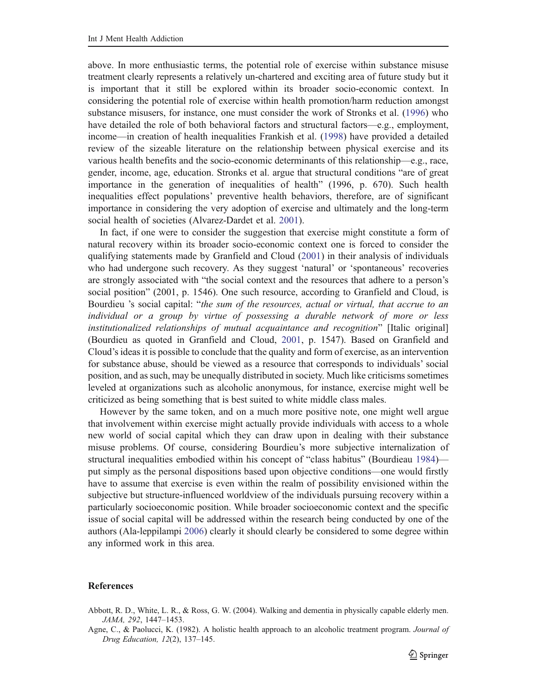above. In more enthusiastic terms, the potential role of exercise within substance misuse treatment clearly represents a relatively un-chartered and exciting area of future study but it is important that it still be explored within its broader socio-economic context. In considering the potential role of exercise within health promotion/harm reduction amongst substance misusers, for instance, one must consider the work of Stronks et al. (1996) who have detailed the role of both behavioral factors and structural factors—e.g., employment, income—in creation of health inequalities Frankish et al. (1998) have provided a detailed review of the sizeable literature on the relationship between physical exercise and its various health benefits and the socio-economic determinants of this relationship—e.g., race, gender, income, age, education. Stronks et al. argue that structural conditions "are of great importance in the generation of inequalities of health" (1996, p. 670). Such health inequalities effect populations' preventive health behaviors, therefore, are of significant importance in considering the very adoption of exercise and ultimately and the long-term social health of societies (Alvarez-Dardet et al. 2001).

In fact, if one were to consider the suggestion that exercise might constitute a form of natural recovery within its broader socio-economic context one is forced to consider the qualifying statements made by Granfield and Cloud (2001) in their analysis of individuals who had undergone such recovery. As they suggest 'natural' or 'spontaneous' recoveries are strongly associated with "the social context and the resources that adhere to a person's social position" (2001, p. 1546). One such resource, according to Granfield and Cloud, is Bourdieu 's social capital: "the sum of the resources, actual or virtual, that accrue to an individual or a group by virtue of possessing a durable network of more or less institutionalized relationships of mutual acquaintance and recognition" [Italic original] (Bourdieu as quoted in Granfield and Cloud, 2001, p. 1547). Based on Granfield and Cloud's ideas it is possible to conclude that the quality and form of exercise, as an intervention for substance abuse, should be viewed as a resource that corresponds to individuals' social position, and as such, may be unequally distributed in society. Much like criticisms sometimes leveled at organizations such as alcoholic anonymous, for instance, exercise might well be criticized as being something that is best suited to white middle class males.

However by the same token, and on a much more positive note, one might well argue that involvement within exercise might actually provide individuals with access to a whole new world of social capital which they can draw upon in dealing with their substance misuse problems. Of course, considering Bourdieu's more subjective internalization of structural inequalities embodied within his concept of "class habitus" (Bourdieau 1984) put simply as the personal dispositions based upon objective conditions—one would firstly have to assume that exercise is even within the realm of possibility envisioned within the subjective but structure-influenced worldview of the individuals pursuing recovery within a particularly socioeconomic position. While broader socioeconomic context and the specific issue of social capital will be addressed within the research being conducted by one of the authors (Ala-leppilampi 2006) clearly it should clearly be considered to some degree within any informed work in this area.

#### References

- Abbott, R. D., White, L. R., & Ross, G. W. (2004). Walking and dementia in physically capable elderly men. JAMA, 292, 1447–1453.
- Agne, C., & Paolucci, K. (1982). A holistic health approach to an alcoholic treatment program. Journal of Drug Education, 12(2), 137–145.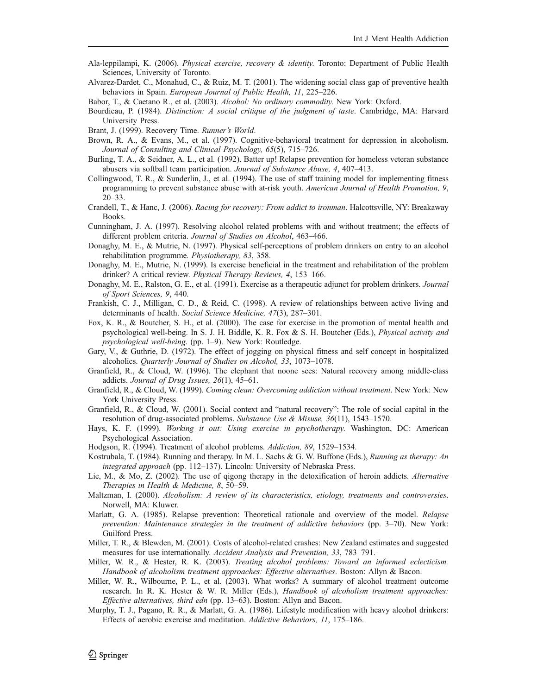- Ala-leppilampi, K. (2006). Physical exercise, recovery & identity. Toronto: Department of Public Health Sciences, University of Toronto.
- Alvarez-Dardet, C., Monahud, C., & Ruiz, M. T. (2001). The widening social class gap of preventive health behaviors in Spain. European Journal of Public Health, 11, 225–226.

Babor, T., & Caetano R., et al. (2003). Alcohol: No ordinary commodity. New York: Oxford.

- Bourdieau, P. (1984). Distinction: A social critique of the judgment of taste. Cambridge, MA: Harvard University Press.
- Brant, J. (1999). Recovery Time. Runner's World.
- Brown, R. A., & Evans, M., et al. (1997). Cognitive-behavioral treatment for depression in alcoholism. Journal of Consulting and Clinical Psychology, 65(5), 715–726.
- Burling, T. A., & Seidner, A. L., et al. (1992). Batter up! Relapse prevention for homeless veteran substance abusers via softball team participation. Journal of Substance Abuse, 4, 407–413.
- Collingwood, T. R., & Sunderlin, J., et al. (1994). The use of staff training model for implementing fitness programming to prevent substance abuse with at-risk youth. American Journal of Health Promotion, 9, 20–33.
- Crandell, T., & Hanc, J. (2006). Racing for recovery: From addict to ironman. Halcottsville, NY: Breakaway Books.
- Cunningham, J. A. (1997). Resolving alcohol related problems with and without treatment; the effects of different problem criteria. Journal of Studies on Alcohol, 463–466.
- Donaghy, M. E., & Mutrie, N. (1997). Physical self-perceptions of problem drinkers on entry to an alcohol rehabilitation programme. Physiotherapy, 83, 358.
- Donaghy, M. E., Mutrie, N. (1999). Is exercise beneficial in the treatment and rehabilitation of the problem drinker? A critical review. Physical Therapy Reviews, 4, 153–166.
- Donaghy, M. E., Ralston, G. E., et al. (1991). Exercise as a therapeutic adjunct for problem drinkers. Journal of Sport Sciences, 9, 440.
- Frankish, C. J., Milligan, C. D., & Reid, C. (1998). A review of relationships between active living and determinants of health. Social Science Medicine, 47(3), 287–301.
- Fox, K. R., & Boutcher, S. H., et al. (2000). The case for exercise in the promotion of mental health and psychological well-being. In S. J. H. Biddle, K. R. Fox & S. H. Boutcher (Eds.), Physical activity and psychological well-being. (pp. 1–9). New York: Routledge.
- Gary, V., & Guthrie, D. (1972). The effect of jogging on physical fitness and self concept in hospitalized alcoholics. Quarterly Journal of Studies on Alcohol, 33, 1073–1078.
- Granfield, R., & Cloud, W. (1996). The elephant that noone sees: Natural recovery among middle-class addicts. Journal of Drug Issues, 26(1), 45–61.
- Granfield, R., & Cloud, W. (1999). Coming clean: Overcoming addiction without treatment. New York: New York University Press.
- Granfield, R., & Cloud, W. (2001). Social context and "natural recovery": The role of social capital in the resolution of drug-associated problems. Substance Use & Misuse, 36(11), 1543–1570.
- Hays, K. F. (1999). Working it out: Using exercise in psychotherapy. Washington, DC: American Psychological Association.
- Hodgson, R. (1994). Treatment of alcohol problems. Addiction, 89, 1529–1534.
- Kostrubala, T. (1984). Running and therapy. In M. L. Sachs & G. W. Buffone (Eds.), Running as therapy: An integrated approach (pp. 112–137). Lincoln: University of Nebraska Press.
- Lie, M., & Mo, Z. (2002). The use of qigong therapy in the detoxification of heroin addicts. Alternative Therapies in Health & Medicine, 8, 50–59.
- Maltzman, I. (2000). Alcoholism: A review of its characteristics, etiology, treatments and controversies. Norwell, MA: Kluwer.
- Marlatt, G. A. (1985). Relapse prevention: Theoretical rationale and overview of the model. Relapse prevention: Maintenance strategies in the treatment of addictive behaviors (pp. 3–70). New York: Guilford Press.
- Miller, T. R., & Blewden, M. (2001). Costs of alcohol-related crashes: New Zealand estimates and suggested measures for use internationally. Accident Analysis and Prevention, 33, 783–791.
- Miller, W. R., & Hester, R. K. (2003). Treating alcohol problems: Toward an informed eclecticism. Handbook of alcoholism treatment approaches: Effective alternatives. Boston: Allyn & Bacon.
- Miller, W. R., Wilbourne, P. L., et al. (2003). What works? A summary of alcohol treatment outcome research. In R. K. Hester & W. R. Miller (Eds.), Handbook of alcoholism treatment approaches: Effective alternatives, third edn (pp. 13–63). Boston: Allyn and Bacon.
- Murphy, T. J., Pagano, R. R., & Marlatt, G. A. (1986). Lifestyle modification with heavy alcohol drinkers: Effects of aerobic exercise and meditation. Addictive Behaviors, 11, 175–186.